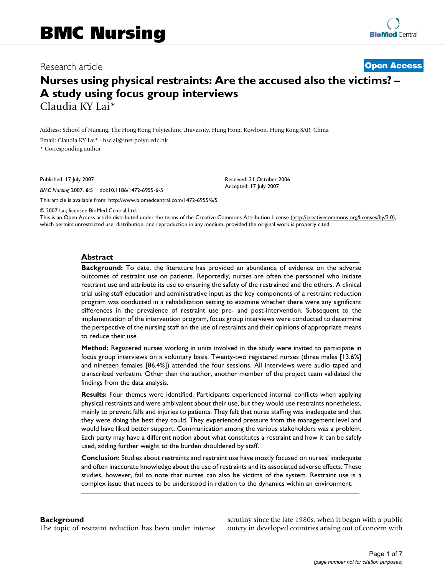# Research article **[Open Access](http://www.biomedcentral.com/info/about/charter/)**

# **Nurses using physical restraints: Are the accused also the victims? – A study using focus group interviews** Claudia KY Lai\*

Address: School of Nursing, The Hong Kong Polytechnic University, Hung Hom, Kowloon, Hong Kong SAR, China

Email: Claudia KY Lai\* - hsclai@inet.polyu.edu.hk

\* Corresponding author

Published: 17 July 2007

*BMC Nursing* 2007, **6**:5 doi:10.1186/1472-6955-6-5

[This article is available from: http://www.biomedcentral.com/1472-6955/6/5](http://www.biomedcentral.com/1472-6955/6/5)

© 2007 Lai; licensee BioMed Central Ltd.

This is an Open Access article distributed under the terms of the Creative Commons Attribution License [\(http://creativecommons.org/licenses/by/2.0\)](http://creativecommons.org/licenses/by/2.0), which permits unrestricted use, distribution, and reproduction in any medium, provided the original work is properly cited.

Received: 31 October 2006 Accepted: 17 July 2007

#### **Abstract**

**Background:** To date, the literature has provided an abundance of evidence on the adverse outcomes of restraint use on patients. Reportedly, nurses are often the personnel who initiate restraint use and attribute its use to ensuring the safety of the restrained and the others. A clinical trial using staff education and administrative input as the key components of a restraint reduction program was conducted in a rehabilitation setting to examine whether there were any significant differences in the prevalence of restraint use pre- and post-intervention. Subsequent to the implementation of the intervention program, focus group interviews were conducted to determine the perspective of the nursing staff on the use of restraints and their opinions of appropriate means to reduce their use.

**Method:** Registered nurses working in units involved in the study were invited to participate in focus group interviews on a voluntary basis. Twenty-two registered nurses (three males [13.6%] and nineteen females [86.4%]) attended the four sessions. All interviews were audio taped and transcribed verbatim. Other than the author, another member of the project team validated the findings from the data analysis.

**Results:** Four themes were identified. Participants experienced internal conflicts when applying physical restraints and were ambivalent about their use, but they would use restraints nonetheless, mainly to prevent falls and injuries to patients. They felt that nurse staffing was inadequate and that they were doing the best they could. They experienced pressure from the management level and would have liked better support. Communication among the various stakeholders was a problem. Each party may have a different notion about what constitutes a restraint and how it can be safely used, adding further weight to the burden shouldered by staff.

**Conclusion:** Studies about restraints and restraint use have mostly focused on nurses' inadequate and often inaccurate knowledge about the use of restraints and its associated adverse effects. These studies, however, fail to note that nurses can also be victims of the system. Restraint use is a complex issue that needs to be understood in relation to the dynamics within an environment.

#### **Background**

The topic of restraint reduction has been under intense

scrutiny since the late 1980s, when it began with a public outcry in developed countries arising out of concern with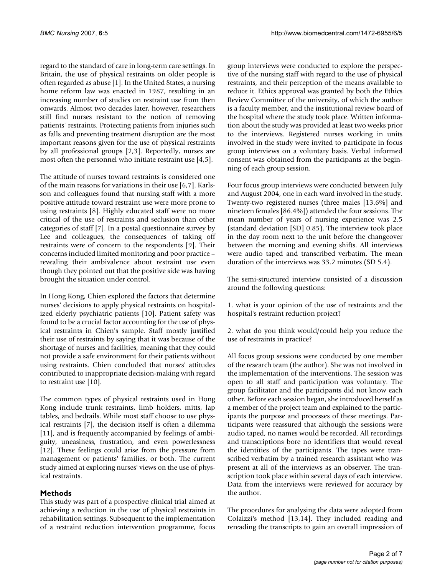regard to the standard of care in long-term care settings. In Britain, the use of physical restraints on older people is often regarded as abuse [1]. In the United States, a nursing home reform law was enacted in 1987, resulting in an increasing number of studies on restraint use from then onwards. Almost two decades later, however, researchers still find nurses resistant to the notion of removing patients' restraints. Protecting patients from injuries such as falls and preventing treatment disruption are the most important reasons given for the use of physical restraints by all professional groups [2,3]. Reportedly, nurses are most often the personnel who initiate restraint use [4,5].

The attitude of nurses toward restraints is considered one of the main reasons for variations in their use [6,7]. Karlsson and colleagues found that nursing staff with a more positive attitude toward restraint use were more prone to using restraints [8]. Highly educated staff were no more critical of the use of restraints and seclusion than other categories of staff [7]. In a postal questionnaire survey by Lee and colleagues, the consequences of taking off restraints were of concern to the respondents [9]. Their concerns included limited monitoring and poor practice – revealing their ambivalence about restraint use even though they pointed out that the positive side was having brought the situation under control.

In Hong Kong, Chien explored the factors that determine nurses' decisions to apply physical restraints on hospitalized elderly psychiatric patients [10]. Patient safety was found to be a crucial factor accounting for the use of physical restraints in Chien's sample. Staff mostly justified their use of restraints by saying that it was because of the shortage of nurses and facilities, meaning that they could not provide a safe environment for their patients without using restraints. Chien concluded that nurses' attitudes contributed to inappropriate decision-making with regard to restraint use [10].

The common types of physical restraints used in Hong Kong include trunk restraints, limb holders, mitts, lap tables, and bedrails. While most staff choose to use physical restraints [7], the decision itself is often a dilemma [11], and is frequently accompanied by feelings of ambiguity, uneasiness, frustration, and even powerlessness [12]. These feelings could arise from the pressure from management or patients' families, or both. The current study aimed at exploring nurses' views on the use of physical restraints.

# **Methods**

This study was part of a prospective clinical trial aimed at achieving a reduction in the use of physical restraints in rehabilitation settings. Subsequent to the implementation of a restraint reduction intervention programme, focus

group interviews were conducted to explore the perspective of the nursing staff with regard to the use of physical restraints, and their perception of the means available to reduce it. Ethics approval was granted by both the Ethics Review Committee of the university, of which the author is a faculty member, and the institutional review board of the hospital where the study took place. Written information about the study was provided at least two weeks prior to the interviews. Registered nurses working in units involved in the study were invited to participate in focus group interviews on a voluntary basis. Verbal informed consent was obtained from the participants at the beginning of each group session.

Four focus group interviews were conducted between July and August 2004, one in each ward involved in the study. Twenty-two registered nurses (three males [13.6%] and nineteen females [86.4%]) attended the four sessions. The mean number of years of nursing experience was 2.5 (standard deviation [SD] 0.85). The interview took place in the day room next to the unit before the changeover between the morning and evening shifts. All interviews were audio taped and transcribed verbatim. The mean duration of the interviews was 33.2 minutes (SD 5.4).

The semi-structured interview consisted of a discussion around the following questions:

1. what is your opinion of the use of restraints and the hospital's restraint reduction project?

2. what do you think would/could help you reduce the use of restraints in practice?

All focus group sessions were conducted by one member of the research team (the author). She was not involved in the implementation of the interventions. The session was open to all staff and participation was voluntary. The group facilitator and the participants did not know each other. Before each session began, she introduced herself as a member of the project team and explained to the participants the purpose and processes of these meetings. Participants were reassured that although the sessions were audio taped, no names would be recorded. All recordings and transcriptions bore no identifiers that would reveal the identities of the participants. The tapes were transcribed verbatim by a trained research assistant who was present at all of the interviews as an observer. The transcription took place within several days of each interview. Data from the interviews were reviewed for accuracy by the author.

The procedures for analysing the data were adopted from Colaizzi's method [13,14]. They included reading and rereading the transcripts to gain an overall impression of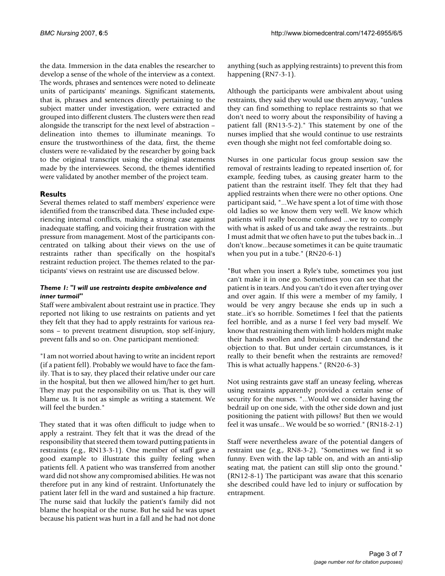the data. Immersion in the data enables the researcher to develop a sense of the whole of the interview as a context. The words, phrases and sentences were noted to delineate units of participants' meanings. Significant statements, that is, phrases and sentences directly pertaining to the subject matter under investigation, were extracted and grouped into different clusters. The clusters were then read alongside the transcript for the next level of abstraction – delineation into themes to illuminate meanings. To ensure the trustworthiness of the data, first, the theme clusters were re-validated by the researcher by going back to the original transcript using the original statements made by the interviewees. Second, the themes identified were validated by another member of the project team.

# **Results**

Several themes related to staff members' experience were identified from the transcribed data. These included experiencing internal conflicts, making a strong case against inadequate staffing, and voicing their frustration with the pressure from management. Most of the participants concentrated on talking about their views on the use of restraints rather than specifically on the hospital's restraint reduction project. The themes related to the participants' views on restraint use are discussed below.

#### *Theme 1: "I will use restraints despite ambivalence and inner turmoil"*

Staff were ambivalent about restraint use in practice. They reported not liking to use restraints on patients and yet they felt that they had to apply restraints for various reasons – to prevent treatment disruption, stop self-injury, prevent falls and so on. One participant mentioned:

"I am not worried about having to write an incident report (if a patient fell). Probably we would have to face the family. That is to say, they placed their relative under our care in the hospital, but then we allowed him/her to get hurt. They may put the responsibility on us. That is, they will blame us. It is not as simple as writing a statement. We will feel the burden."

They stated that it was often difficult to judge when to apply a restraint. They felt that it was the dread of the responsibility that steered them toward putting patients in restraints (e.g., RN13-3-1). One member of staff gave a good example to illustrate this guilty feeling when patients fell. A patient who was transferred from another ward did not show any compromised abilities. He was not therefore put in any kind of restraint. Unfortunately the patient later fell in the ward and sustained a hip fracture. The nurse said that luckily the patient's family did not blame the hospital or the nurse. But he said he was upset because his patient was hurt in a fall and he had not done anything (such as applying restraints) to prevent this from happening (RN7-3-1).

Although the participants were ambivalent about using restraints, they said they would use them anyway, "unless they can find something to replace restraints so that we don't need to worry about the responsibility of having a patient fall (RN13-5-2)." This statement by one of the nurses implied that she would continue to use restraints even though she might not feel comfortable doing so.

Nurses in one particular focus group session saw the removal of restraints leading to repeated insertion of, for example, feeding tubes, as causing greater harm to the patient than the restraint itself. They felt that they had applied restraints when there were no other options. One participant said, "...We have spent a lot of time with those old ladies so we know them very well. We know which patients will really become confused ...we try to comply with what is asked of us and take away the restraints...but I must admit that we often have to put the tubes back in...I don't know...because sometimes it can be quite traumatic when you put in a tube." (RN20-6-1)

"But when you insert a Ryle's tube, sometimes you just can't make it in one go. Sometimes you can see that the patient is in tears. And you can't do it even after trying over and over again. If this were a member of my family, I would be very angry because she ends up in such a state...it's so horrible. Sometimes I feel that the patients feel horrible, and as a nurse I feel very bad myself. We know that restraining them with limb holders might make their hands swollen and bruised; I can understand the objection to that. But under certain circumstances, is it really to their benefit when the restraints are removed? This is what actually happens." (RN20-6-3)

Not using restraints gave staff an uneasy feeling, whereas using restraints apparently provided a certain sense of security for the nurses. "...Would we consider having the bedrail up on one side, with the other side down and just positioning the patient with pillows? But then we would feel it was unsafe... We would be so worried." (RN18-2-1)

Staff were nevertheless aware of the potential dangers of restraint use (e.g., RN8-3-2). "Sometimes we find it so funny. Even with the lap table on, and with an anti-slip seating mat, the patient can still slip onto the ground." (RN12-8-1) The participant was aware that this scenario she described could have led to injury or suffocation by entrapment.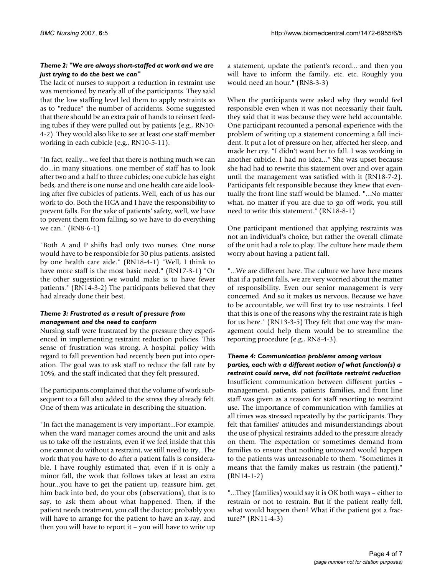## *Theme 2: "We are always short-staffed at work and we are just trying to do the best we can"*

The lack of nurses to support a reduction in restraint use was mentioned by nearly all of the participants. They said that the low staffing level led them to apply restraints so as to "reduce" the number of accidents. Some suggested that there should be an extra pair of hands to reinsert feeding tubes if they were pulled out by patients (e.g., RN10- 4-2). They would also like to see at least one staff member working in each cubicle (e.g., RN10-5-11).

"In fact, really... we feel that there is nothing much we can do...in many situations, one member of staff has to look after two and a half to three cubicles; one cubicle has eight beds, and there is one nurse and one health care aide looking after five cubicles of patients. Well, each of us has our work to do. Both the HCA and I have the responsibility to prevent falls. For the sake of patients' safety, well, we have to prevent them from falling, so we have to do everything we can." (RN8-6-1)

"Both A and P shifts had only two nurses. One nurse would have to be responsible for 30 plus patients, assisted by one health care aide." (RN18-4-1) "Well, I think to have more staff is the most basic need." (RN17-3-1) "Or the other suggestion we would make is to have fewer patients." (RN14-3-2) The participants believed that they had already done their best.

# *Theme 3: Frustrated as a result of pressure from management and the need to conform*

Nursing staff were frustrated by the pressure they experienced in implementing restraint reduction policies. This sense of frustration was strong. A hospital policy with regard to fall prevention had recently been put into operation. The goal was to ask staff to reduce the fall rate by 10%, and the staff indicated that they felt pressured.

The participants complained that the volume of work subsequent to a fall also added to the stress they already felt. One of them was articulate in describing the situation.

"In fact the management is very important...For example, when the ward manager comes around the unit and asks us to take off the restraints, even if we feel inside that this one cannot do without a restraint, we still need to try...The work that you have to do after a patient falls is considerable. I have roughly estimated that, even if it is only a minor fall, the work that follows takes at least an extra hour...you have to get the patient up, reassure him, get him back into bed, do your obs (observations), that is to say, to ask them about what happened. Then, if the patient needs treatment, you call the doctor; probably you will have to arrange for the patient to have an x-ray, and then you will have to report it – you will have to write up

a statement, update the patient's record... and then you will have to inform the family, etc. etc. Roughly you would need an hour." (RN8-3-3)

When the participants were asked why they would feel responsible even when it was not necessarily their fault, they said that it was because they were held accountable. One participant recounted a personal experience with the problem of writing up a statement concerning a fall incident. It put a lot of pressure on her, affected her sleep, and made her cry. "I didn't want her to fall. I was working in another cubicle. I had no idea..." She was upset because she had had to rewrite this statement over and over again until the management was satisfied with it (RN18-7-2). Participants felt responsible because they knew that eventually the front line staff would be blamed. "...No matter what, no matter if you are due to go off work, you still need to write this statement." (RN18-8-1)

One participant mentioned that applying restraints was not an individual's choice, but rather the overall climate of the unit had a role to play. The culture here made them worry about having a patient fall.

"...We are different here. The culture we have here means that if a patient falls, we are very worried about the matter of responsibility. Even our senior management is very concerned. And so it makes us nervous. Because we have to be accountable, we will first try to use restraints. I feel that this is one of the reasons why the restraint rate is high for us here." (RN13-3-5) They felt that one way the management could help them would be to streamline the reporting procedure (e.g., RN8-4-3).

# *Theme 4: Communication problems among various parties, each with a different notion of what function(s) a restraint could serve, did not facilitate restraint reduction* Insufficient communication between different parties – management, patients, patients' families, and front line staff was given as a reason for staff resorting to restraint use. The importance of communication with families at all times was stressed repeatedly by the participants. They felt that families' attitudes and misunderstandings about the use of physical restraints added to the pressure already on them. The expectation or sometimes demand from families to ensure that nothing untoward would happen to the patients was unreasonable to them. "Sometimes it means that the family makes us restrain (the patient)." (RN14-1-2)

"...They (families) would say it is OK both ways – either to restrain or not to restrain. But if the patient really fell, what would happen then? What if the patient got a fracture?" (RN11-4-3)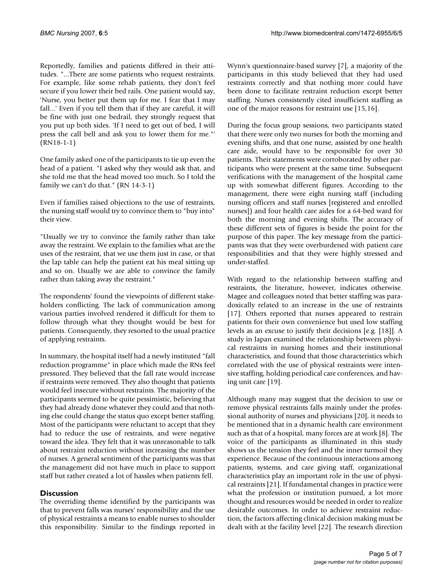Reportedly, families and patients differed in their attitudes. "...There are some patients who request restraints. For example, like some rehab patients, they don't feel secure if you lower their bed rails. One patient would say, 'Nurse, you better put them up for me. I fear that I may fall...' Even if you tell them that if they are careful, it will be fine with just one bedrail, they strongly request that you put up both sides. 'If I need to get out of bed, I will press the call bell and ask you to lower them for me."' (RN18-1-1)

One family asked one of the participants to tie up even the head of a patient. "I asked why they would ask that, and she told me that the head moved too much. So I told the family we can't do that." (RN 14-3-1)

Even if families raised objections to the use of restraints, the nursing staff would try to convince them to "buy into" their view.

"Usually we try to convince the family rather than take away the restraint. We explain to the families what are the uses of the restraint, that we use them just in case, or that the lap table can help the patient eat his meal sitting up and so on. Usually we are able to convince the family rather than taking away the restraint."

The respondents' found the viewpoints of different stakeholders conflicting. The lack of communication among various parties involved rendered it difficult for them to follow through what they thought would be best for patients. Consequently, they resorted to the usual practice of applying restraints.

In summary, the hospital itself had a newly instituted "fall reduction programme" in place which made the RNs feel pressured. They believed that the fall rate would increase if restraints were removed. They also thought that patients would feel insecure without restraints. The majority of the participants seemed to be quite pessimistic, believing that they had already done whatever they could and that nothing else could change the status quo except better staffing. Most of the participants were reluctant to accept that they had to reduce the use of restraints, and were negative toward the idea. They felt that it was unreasonable to talk about restraint reduction without increasing the number of nurses. A general sentiment of the participants was that the management did not have much in place to support staff but rather created a lot of hassles when patients fell.

# **Discussion**

The overriding theme identified by the participants was that to prevent falls was nurses' responsibility and the use of physical restraints a means to enable nurses to shoulder this responsibility. Similar to the findings reported in

Wynn's questionnaire-based survey [7], a majority of the participants in this study believed that they had used restraints correctly and that nothing more could have been done to facilitate restraint reduction except better staffing. Nurses consistently cited insufficient staffing as one of the major reasons for restraint use [15,16].

During the focus group sessions, two participants stated that there were only two nurses for both the morning and evening shifts, and that one nurse, assisted by one health care aide, would have to be responsible for over 30 patients. Their statements were corroborated by other participants who were present at the same time. Subsequent verifications with the management of the hospital came up with somewhat different figures. According to the management, there were eight nursing staff (including nursing officers and staff nurses [registered and enrolled nurses]) and four health care aides for a 64-bed ward for both the morning and evening shifts. The accuracy of these different sets of figures is beside the point for the purpose of this paper. The key message from the participants was that they were overburdened with patient care responsibilities and that they were highly stressed and under-staffed.

With regard to the relationship between staffing and restraints, the literature, however, indicates otherwise. Magee and colleagues noted that better staffing was paradoxically related to an increase in the use of restraints [17]. Others reported that nurses appeared to restrain patients for their own convenience but used low staffing levels as an excuse to justify their decisions [e.g. [18]]. A study in Japan examined the relationship between physical restraints in nursing homes and their institutional characteristics, and found that those characteristics which correlated with the use of physical restraints were intensive staffing, holding periodical care conferences, and having unit care [19].

Although many may suggest that the decision to use or remove physical restraints falls mainly under the professional authority of nurses and physicians [20], it needs to be mentioned that in a dynamic health care environment such as that of a hospital, many forces are at work [8]. The voice of the participants as illuminated in this study shows us the tension they feel and the inner turmoil they experience. Because of the continuous interactions among patients, systems, and care giving staff, organizational characteristics play an important role in the use of physical restraints [21]. If fundamental changes in practice were what the profession or institution pursued, a lot more thought and resources would be needed in order to realize desirable outcomes. In order to achieve restraint reduction, the factors affecting clinical decision making must be dealt with at the facility level [22]. The research direction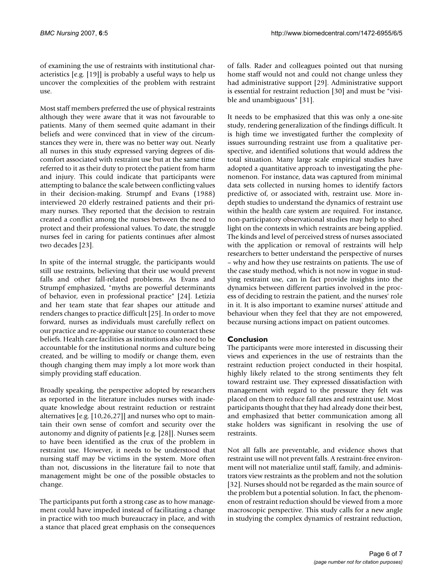of examining the use of restraints with institutional characteristics [e.g. [19]] is probably a useful ways to help us uncover the complexities of the problem with restraint use.

Most staff members preferred the use of physical restraints although they were aware that it was not favourable to patients. Many of them seemed quite adamant in their beliefs and were convinced that in view of the circumstances they were in, there was no better way out. Nearly all nurses in this study expressed varying degrees of discomfort associated with restraint use but at the same time referred to it as their duty to protect the patient from harm and injury. This could indicate that participants were attempting to balance the scale between conflicting values in their decision-making. Strumpf and Evans (1988) interviewed 20 elderly restrained patients and their primary nurses. They reported that the decision to restrain created a conflict among the nurses between the need to protect and their professional values. To date, the struggle nurses feel in caring for patients continues after almost two decades [23].

In spite of the internal struggle, the participants would still use restraints, believing that their use would prevent falls and other fall-related problems. As Evans and Strumpf emphasized, "myths are powerful determinants of behavior, even in professional practice" [24]. Letizia and her team state that fear shapes our attitude and renders changes to practice difficult [25]. In order to move forward, nurses as individuals must carefully reflect on our practice and re-appraise our stance to counteract these beliefs. Health care facilities as institutions also need to be accountable for the institutional norms and culture being created, and be willing to modify or change them, even though changing them may imply a lot more work than simply providing staff education.

Broadly speaking, the perspective adopted by researchers as reported in the literature includes nurses with inadequate knowledge about restraint reduction or restraint alternatives [e.g. [10,26,27]] and nurses who opt to maintain their own sense of comfort and security over the autonomy and dignity of patients [e.g. [28]]. Nurses seem to have been identified as the crux of the problem in restraint use. However, it needs to be understood that nursing staff may be victims in the system. More often than not, discussions in the literature fail to note that management might be one of the possible obstacles to change.

The participants put forth a strong case as to how management could have impeded instead of facilitating a change in practice with too much bureaucracy in place, and with a stance that placed great emphasis on the consequences

of falls. Rader and colleagues pointed out that nursing home staff would not and could not change unless they had administrative support [29]. Administrative support is essential for restraint reduction [30] and must be "visible and unambiguous" [31].

It needs to be emphasized that this was only a one-site study, rendering generalization of the findings difficult. It is high time we investigated further the complexity of issues surrounding restraint use from a qualitative perspective, and identified solutions that would address the total situation. Many large scale empirical studies have adopted a quantitative approach to investigating the phenomenon. For instance, data was captured from minimal data sets collected in nursing homes to identify factors predictive of, or associated with, restraint use. More indepth studies to understand the dynamics of restraint use within the health care system are required. For instance, non-participatory observational studies may help to shed light on the contexts in which restraints are being applied. The kinds and level of perceived stress of nurses associated with the application or removal of restraints will help researchers to better understand the perspective of nurses – why and how they use restraints on patients. The use of the case study method, which is not now in vogue in studying restraint use, can in fact provide insights into the dynamics between different parties involved in the process of deciding to restrain the patient, and the nurses' role in it. It is also important to examine nurses' attitude and behaviour when they feel that they are not empowered, because nursing actions impact on patient outcomes.

# **Conclusion**

The participants were more interested in discussing their views and experiences in the use of restraints than the restraint reduction project conducted in their hospital, highly likely related to the strong sentiments they felt toward restraint use. They expressed dissatisfaction with management with regard to the pressure they felt was placed on them to reduce fall rates and restraint use. Most participants thought that they had already done their best, and emphasized that better communication among all stake holders was significant in resolving the use of restraints.

Not all falls are preventable, and evidence shows that restraint use will not prevent falls. A restraint-free environment will not materialize until staff, family, and administrators view restraints as the problem and not the solution [32]. Nurses should not be regarded as the main source of the problem but a potential solution. In fact, the phenomenon of restraint reduction should be viewed from a more macroscopic perspective. This study calls for a new angle in studying the complex dynamics of restraint reduction,